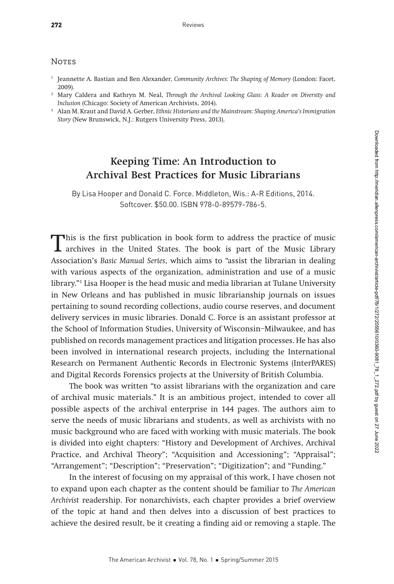## **NOTES**

- <sup>1</sup> Jeannette A. Bastian and Ben Alexander, Community Archives: The Shaping of Memory (London: Facet, 2009).
- <sup>2</sup> Mary Caldera and Kathryn M. Neal, Through the Archival Looking Glass: A Reader on Diversity and Inclusion (Chicago: Society of American Archivists, 2014).
- <sup>3</sup> Alan M. Kraut and David A. Gerber, Ethnic Historians and the Mainstream: Shaping America's Immigration Story (New Brunswick, N.J.: Rutgers University Press, 2013).

## Keeping Time: An Introduction to Archival Best Practices for Music Librarians

By Lisa Hooper and Donald C. Force. Middleton, Wis.: A-R Editions, 2014. Softcover. \$50.00. ISBN 978-0-89579-786-5.

This is the first publication in book form to address the practice of music archives in the United States. The book is part of the Music Library<br>Accepition's Basic Manual Swiss which aims to "pesiet the librarian in dealin Association's Basic Manual Series, which aims to "assist the librarian in dealing with various aspects of the organization, administration and use of a music library."1 Lisa Hooper is the head music and media librarian at Tulane University in New Orleans and has published in music librarianship journals on issues pertaining to sound recording collections, audio course reserves, and document delivery services in music libraries. Donald C. Force is an assistant professor at the School of Information Studies, University of Wisconsin–Milwaukee, and has published on records management practices and litigation processes. He has also been involved in international research projects, including the International Research on Permanent Authentic Records in Electronic Systems (InterPARES) and Digital Records Forensics projects at the University of British Columbia.

The book was written "to assist librarians with the organization and care of archival music materials." It is an ambitious project, intended to cover all possible aspects of the archival enterprise in 144 pages. The authors aim to serve the needs of music librarians and students, as well as archivists with no music background who are faced with working with music materials. The book is divided into eight chapters: "History and Development of Archives, Archival Practice, and Archival Theory"; "Acquisition and Accessioning"; "Appraisal"; "Arrangement"; "Description"; "Preservation"; "Digitization"; and "Funding."

In the interest of focusing on my appraisal of this work, I have chosen not to expand upon each chapter as the content should be familiar to The American Archivist readership. For nonarchivists, each chapter provides a brief overview of the topic at hand and then delves into a discussion of best practices to achieve the desired result, be it creating a finding aid or removing a staple. The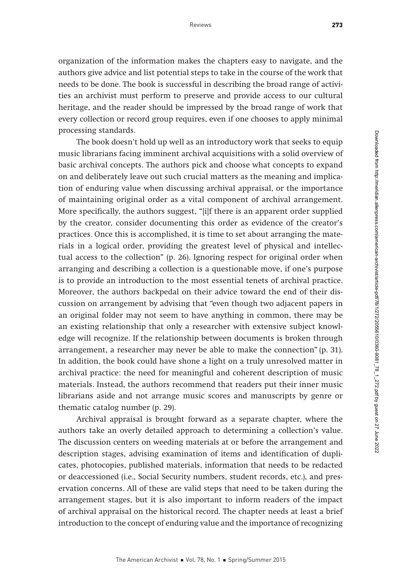organization of the information makes the chapters easy to navigate, and the authors give advice and list potential steps to take in the course of the work that needs to be done. The book is successful in describing the broad range of activities an archivist must perform to preserve and provide access to our cultural heritage, and the reader should be impressed by the broad range of work that every collection or record group requires, even if one chooses to apply minimal processing standards.

The book doesn't hold up well as an introductory work that seeks to equip music librarians facing imminent archival acquisitions with a solid overview of basic archival concepts. The authors pick and choose what concepts to expand on and deliberately leave out such crucial matters as the meaning and implication of enduring value when discussing archival appraisal, or the importance of maintaining original order as a vital component of archival arrangement. More specifically, the authors suggest, "[i]f there is an apparent order supplied by the creator, consider documenting this order as evidence of the creator's practices. Once this is accomplished, it is time to set about arranging the materials in a logical order, providing the greatest level of physical and intellectual access to the collection" (p. 26). Ignoring respect for original order when arranging and describing a collection is a questionable move, if one's purpose is to provide an introduction to the most essential tenets of archival practice. Moreover, the authors backpedal on their advice toward the end of their discussion on arrangement by advising that "even though two adjacent papers in an original folder may not seem to have anything in common, there may be an existing relationship that only a researcher with extensive subject knowledge will recognize. If the relationship between documents is broken through arrangement, a researcher may never be able to make the connection" (p. 31). In addition, the book could have shone a light on a truly unresolved matter in archival practice: the need for meaningful and coherent description of music materials. Instead, the authors recommend that readers put their inner music librarians aside and not arrange music scores and manuscripts by genre or thematic catalog number (p. 29).

Archival appraisal is brought forward as a separate chapter, where the authors take an overly detailed approach to determining a collection's value. The discussion centers on weeding materials at or before the arrangement and description stages, advising examination of items and identification of duplicates, photocopies, published materials, information that needs to be redacted or deaccessioned (i.e., Social Security numbers, student records, etc.), and preservation concerns. All of these are valid steps that need to be taken during the arrangement stages, but it is also important to inform readers of the impact of archival appraisal on the historical record. The chapter needs at least a brief introduction to the concept of enduring value and the importance of recognizing